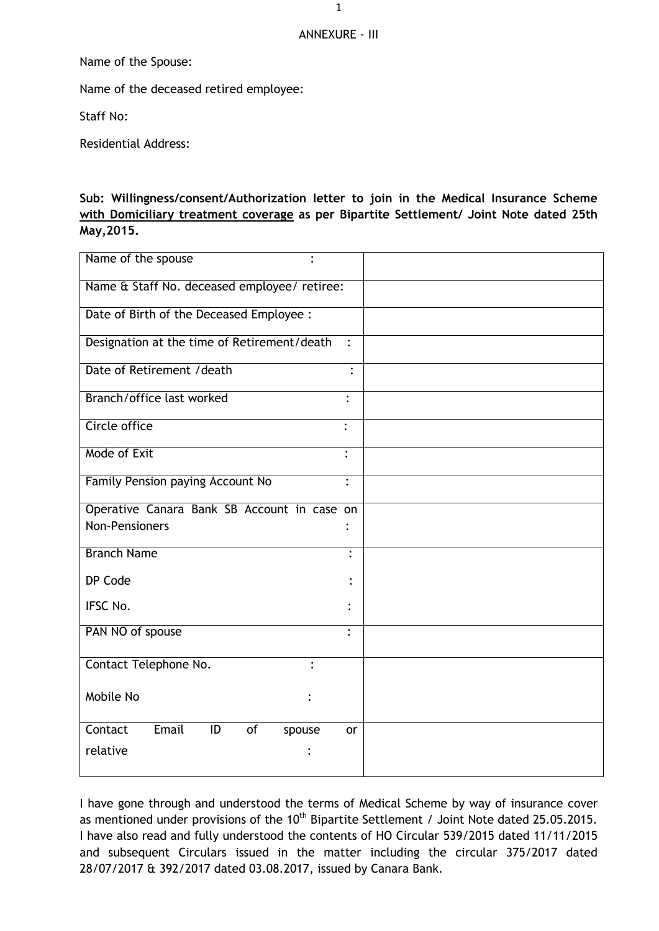## ANNEXURE - III

Name of the Spouse:

Name of the deceased retired employee:

Staff No:

Residential Address:

## **Sub: Willingness/consent/Authorization letter to join in the Medical Insurance Scheme with Domiciliary treatment coverage as per Bipartite Settlement/ Joint Note dated 25th May,2015.**

| Name of the spouse                                 |                |
|----------------------------------------------------|----------------|
| Name & Staff No. deceased employee/ retiree:       |                |
| Date of Birth of the Deceased Employee :           |                |
| Designation at the time of Retirement/death        | $\ddot{\cdot}$ |
| Date of Retirement / death                         |                |
| Branch/office last worked                          | $\ddot{\cdot}$ |
| Circle office                                      |                |
| Mode of Exit                                       |                |
| Family Pension paying Account No                   | $\ddot{\cdot}$ |
| Operative Canara Bank SB Account in case on        |                |
| <b>Non-Pensioners</b>                              |                |
| <b>Branch Name</b>                                 | $\ddot{\cdot}$ |
| DP Code                                            |                |
| IFSC No.                                           |                |
| PAN NO of spouse                                   | $\ddot{\cdot}$ |
| Contact Telephone No.                              |                |
| Mobile No                                          |                |
| Email<br>$\overline{1}$<br>Contact<br>of<br>spouse | or             |
| relative                                           |                |
|                                                    |                |

I have gone through and understood the terms of Medical Scheme by way of insurance cover as mentioned under provisions of the 10<sup>th</sup> Bipartite Settlement / Joint Note dated 25.05.2015. I have also read and fully understood the contents of HO Circular 539/2015 dated 11/11/2015 and subsequent Circulars issued in the matter including the circular 375/2017 dated 28/07/2017 & 392/2017 dated 03.08.2017, issued by Canara Bank.